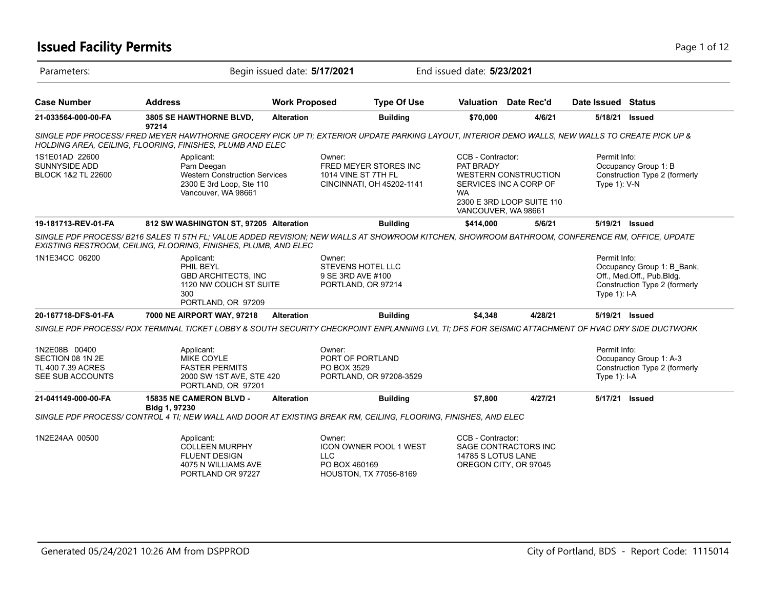## **Issued Facility Permits** Page 1 of 12

| Parameters:                                                                |                                                                                                                                                                                                                       | Begin issued date: 5/17/2021 |                                                                                                  | End issued date: 5/23/2021                                         |                                                                                    |                                 |                                                                                          |
|----------------------------------------------------------------------------|-----------------------------------------------------------------------------------------------------------------------------------------------------------------------------------------------------------------------|------------------------------|--------------------------------------------------------------------------------------------------|--------------------------------------------------------------------|------------------------------------------------------------------------------------|---------------------------------|------------------------------------------------------------------------------------------|
| <b>Case Number</b>                                                         | <b>Address</b>                                                                                                                                                                                                        | <b>Work Proposed</b>         | <b>Type Of Use</b>                                                                               |                                                                    | Valuation Date Rec'd                                                               | Date Issued Status              |                                                                                          |
| 21-033564-000-00-FA                                                        | 3805 SE HAWTHORNE BLVD,                                                                                                                                                                                               | <b>Alteration</b>            | <b>Building</b>                                                                                  | \$70,000                                                           | 4/6/21                                                                             | 5/18/21                         | Issued                                                                                   |
|                                                                            | 97214<br>SINGLE PDF PROCESS/ FRED MEYER HAWTHORNE GROCERY PICK UP TI; EXTERIOR UPDATE PARKING LAYOUT, INTERIOR DEMO WALLS, NEW WALLS TO CREATE PICK UP &<br>HOLDING AREA, CEILING, FLOORING, FINISHES, PLUMB AND ELEC |                              |                                                                                                  |                                                                    |                                                                                    |                                 |                                                                                          |
| 1S1E01AD 22600<br><b>SUNNYSIDE ADD</b><br><b>BLOCK 1&amp;2 TL 22600</b>    | Applicant:<br>Pam Deegan<br><b>Western Construction Services</b><br>2300 E 3rd Loop, Ste 110<br>Vancouver, WA 98661                                                                                                   |                              | Owner:<br><b>FRED MEYER STORES INC</b><br>1014 VINE ST 7TH FL<br>CINCINNATI, OH 45202-1141       | CCB - Contractor:<br>PAT BRADY<br><b>WA</b><br>VANCOUVER, WA 98661 | <b>WESTERN CONSTRUCTION</b><br>SERVICES INC A CORP OF<br>2300 E 3RD LOOP SUITE 110 | Permit Info:<br>Type $1$ ): V-N | Occupancy Group 1: B<br>Construction Type 2 (formerly                                    |
| 19-181713-REV-01-FA                                                        | 812 SW WASHINGTON ST, 97205 Alteration                                                                                                                                                                                |                              | <b>Building</b>                                                                                  | \$414,000                                                          | 5/6/21                                                                             | 5/19/21                         | <b>Issued</b>                                                                            |
|                                                                            | SINGLE PDF PROCESS/B216 SALES TI 5TH FL; VALUE ADDED REVISION; NEW WALLS AT SHOWROOM KITCHEN, SHOWROOM BATHROOM, CONFERENCE RM, OFFICE, UPDATE<br>EXISTING RESTROOM, CEILING, FLOORING, FINISHES, PLUMB, AND ELEC     |                              |                                                                                                  |                                                                    |                                                                                    |                                 |                                                                                          |
| 1N1E34CC 06200                                                             | Applicant:<br>PHIL BEYL<br><b>GBD ARCHITECTS. INC</b><br>1120 NW COUCH ST SUITE<br>300<br>PORTLAND, OR 97209                                                                                                          |                              | Owner:<br><b>STEVENS HOTEL LLC</b><br>9 SE 3RD AVE #100<br>PORTLAND, OR 97214                    |                                                                    |                                                                                    | Permit Info:<br>Type $1$ ): I-A | Occupancy Group 1: B_Bank,<br>Off., Med.Off., Pub.Bldg.<br>Construction Type 2 (formerly |
| 20-167718-DFS-01-FA                                                        | 7000 NE AIRPORT WAY, 97218                                                                                                                                                                                            | <b>Alteration</b>            | <b>Building</b>                                                                                  | \$4,348                                                            | 4/28/21                                                                            | 5/19/21 Issued                  |                                                                                          |
|                                                                            | SINGLE PDF PROCESS/ PDX TERMINAL TICKET LOBBY & SOUTH SECURITY CHECKPOINT ENPLANNING LVL TI; DFS FOR SEISMIC ATTACHMENT OF HVAC DRY SIDE DUCTWORK                                                                     |                              |                                                                                                  |                                                                    |                                                                                    |                                 |                                                                                          |
| 1N2E08B 00400<br>SECTION 08 1N 2E<br>TL 400 7.39 ACRES<br>SEE SUB ACCOUNTS | Applicant:<br>MIKE COYLE<br><b>FASTER PERMITS</b><br>2000 SW 1ST AVE, STE 420<br>PORTLAND, OR 97201                                                                                                                   |                              | Owner:<br>PORT OF PORTLAND<br>PO BOX 3529<br>PORTLAND, OR 97208-3529                             |                                                                    |                                                                                    | Permit Info:<br>Type 1): I-A    | Occupancy Group 1: A-3<br>Construction Type 2 (formerly                                  |
| 21-041149-000-00-FA                                                        | <b>15835 NE CAMERON BLVD -</b><br>Bldg 1, 97230                                                                                                                                                                       | <b>Alteration</b>            | <b>Building</b>                                                                                  | \$7,800                                                            | 4/27/21                                                                            | 5/17/21                         | Issued                                                                                   |
|                                                                            | SINGLE PDF PROCESS/ CONTROL 4 TI; NEW WALL AND DOOR AT EXISTING BREAK RM, CEILING, FLOORING, FINISHES, AND ELEC                                                                                                       |                              |                                                                                                  |                                                                    |                                                                                    |                                 |                                                                                          |
| 1N2E24AA 00500                                                             | Applicant:<br><b>COLLEEN MURPHY</b><br><b>FLUENT DESIGN</b><br>4075 N WILLIAMS AVE<br>PORTLAND OR 97227                                                                                                               |                              | Owner:<br><b>ICON OWNER POOL 1 WEST</b><br><b>LLC</b><br>PO BOX 460169<br>HOUSTON, TX 77056-8169 | CCB - Contractor:<br>14785 S LOTUS LANE                            | SAGE CONTRACTORS INC<br>OREGON CITY, OR 97045                                      |                                 |                                                                                          |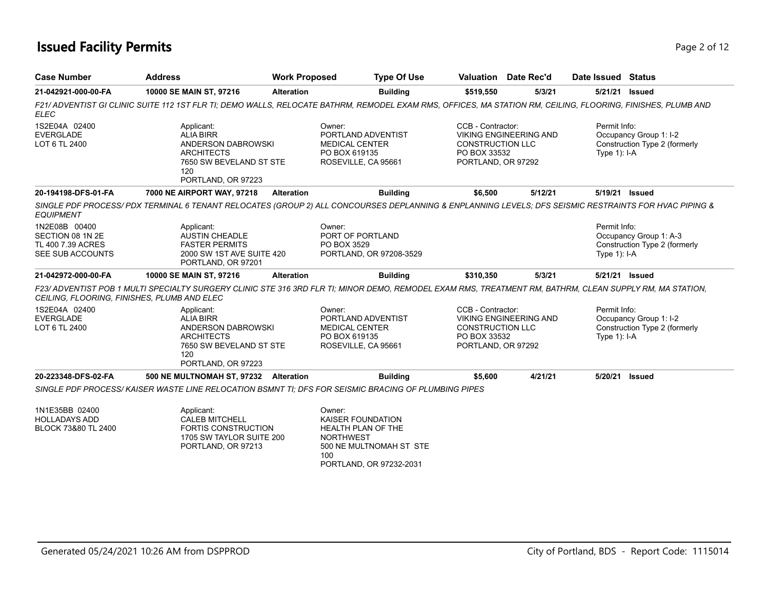## **Issued Facility Permits** Page 2 of 12

| <b>Case Number</b>                                                         | <b>Address</b>                                                                                                                                               | <b>Work Proposed</b>                                                                          | <b>Type Of Use</b>                                                                                             |                                                                                                                     | Valuation Date Rec'd          | Date Issued Status             |                                                         |  |  |
|----------------------------------------------------------------------------|--------------------------------------------------------------------------------------------------------------------------------------------------------------|-----------------------------------------------------------------------------------------------|----------------------------------------------------------------------------------------------------------------|---------------------------------------------------------------------------------------------------------------------|-------------------------------|--------------------------------|---------------------------------------------------------|--|--|
| 21-042921-000-00-FA                                                        | 10000 SE MAIN ST, 97216                                                                                                                                      | <b>Alteration</b>                                                                             | <b>Building</b>                                                                                                | \$519,550                                                                                                           | 5/3/21                        | 5/21/21                        | <b>Issued</b>                                           |  |  |
| <b>ELEC</b>                                                                | F21/ ADVENTIST GI CLINIC SUITE 112 1ST FLR TI; DEMO WALLS, RELOCATE BATHRM, REMODEL EXAM RMS, OFFICES, MA STATION RM, CEILING, FLOORING, FINISHES, PLUMB AND |                                                                                               |                                                                                                                |                                                                                                                     |                               |                                |                                                         |  |  |
| 1S2E04A 02400<br><b>EVERGLADE</b><br>LOT 6 TL 2400                         | Applicant:<br><b>ALIA BIRR</b><br>ANDERSON DABROWSKI<br><b>ARCHITECTS</b><br>7650 SW BEVELAND ST STE<br>120<br>PORTLAND, OR 97223                            | Owner:<br>PORTLAND ADVENTIST<br><b>MEDICAL CENTER</b><br>PO BOX 619135<br>ROSEVILLE, CA 95661 |                                                                                                                | CCB - Contractor:<br><b>VIKING ENGINEERING AND</b><br><b>CONSTRUCTION LLC</b><br>PO BOX 33532<br>PORTLAND, OR 97292 |                               | Permit Info:<br>Type $1$ : I-A | Occupancy Group 1: I-2<br>Construction Type 2 (formerly |  |  |
| 20-194198-DFS-01-FA                                                        | 7000 NE AIRPORT WAY, 97218                                                                                                                                   | <b>Alteration</b>                                                                             | <b>Building</b>                                                                                                | \$6,500                                                                                                             | 5/12/21                       | 5/19/21 Issued                 |                                                         |  |  |
| <b>EQUIPMENT</b>                                                           | SINGLE PDF PROCESS/PDX TERMINAL 6 TENANT RELOCATES (GROUP 2) ALL CONCOURSES DEPLANNING & ENPLANNING LEVELS; DFS SEISMIC RESTRAINTS FOR HVAC PIPING &         |                                                                                               |                                                                                                                |                                                                                                                     |                               |                                |                                                         |  |  |
| 1N2E08B 00400<br>SECTION 08 1N 2E<br>TL 400 7.39 ACRES<br>SEE SUB ACCOUNTS | Applicant:<br><b>AUSTIN CHEADLE</b><br><b>FASTER PERMITS</b><br>2000 SW 1ST AVE SUITE 420<br>PORTLAND, OR 97201                                              |                                                                                               | Owner:<br>PORT OF PORTLAND<br>PO BOX 3529<br>PORTLAND, OR 97208-3529                                           |                                                                                                                     |                               | Permit Info:<br>Type $1$ : I-A | Occupancy Group 1: A-3<br>Construction Type 2 (formerly |  |  |
| 21-042972-000-00-FA                                                        | 10000 SE MAIN ST, 97216                                                                                                                                      | <b>Alteration</b>                                                                             | <b>Building</b>                                                                                                | \$310,350                                                                                                           | 5/3/21                        | 5/21/21 Issued                 |                                                         |  |  |
| CEILING, FLOORING, FINISHES, PLUMB AND ELEC                                | F23/ADVENTIST POB 1 MULTI SPECIALTY SURGERY CLINIC STE 316 3RD FLR TI; MINOR DEMO, REMODEL EXAM RMS, TREATMENT RM, BATHRM, CLEAN SUPPLY RM, MA STATION,      |                                                                                               |                                                                                                                |                                                                                                                     |                               |                                |                                                         |  |  |
| 1S2E04A 02400<br><b>EVERGLADE</b><br>LOT 6 TL 2400                         | Applicant:<br><b>ALIA BIRR</b><br>ANDERSON DABROWSKI<br><b>ARCHITECTS</b><br>7650 SW BEVELAND ST STE<br>120<br>PORTLAND, OR 97223                            |                                                                                               | Owner:<br>PORTLAND ADVENTIST<br><b>MEDICAL CENTER</b><br>PO BOX 619135<br>ROSEVILLE, CA 95661                  | CCB - Contractor:<br><b>CONSTRUCTION LLC</b><br>PO BOX 33532<br>PORTLAND, OR 97292                                  | <b>VIKING ENGINEERING AND</b> | Permit Info:<br>Type 1): I-A   | Occupancy Group 1: I-2<br>Construction Type 2 (formerly |  |  |
| 20-223348-DFS-02-FA                                                        | 500 NE MULTNOMAH ST, 97232 Alteration                                                                                                                        |                                                                                               | <b>Building</b>                                                                                                | \$5,600                                                                                                             | 4/21/21                       | 5/20/21                        | <b>Issued</b>                                           |  |  |
|                                                                            | SINGLE PDF PROCESS/KAISER WASTE LINE RELOCATION BSMNT TI: DFS FOR SEISMIC BRACING OF PLUMBING PIPES                                                          |                                                                                               |                                                                                                                |                                                                                                                     |                               |                                |                                                         |  |  |
| 1N1E35BB 02400<br><b>HOLLADAYS ADD</b><br>BLOCK 73&80 TL 2400              | Applicant:<br><b>CALEB MITCHELL</b><br><b>FORTIS CONSTRUCTION</b><br>1705 SW TAYLOR SUITE 200<br>PORTLAND, OR 97213                                          |                                                                                               | Owner:<br><b>KAISER FOUNDATION</b><br><b>HEALTH PLAN OF THE</b><br><b>NORTHWEST</b><br>500 NE MULTNOMAH ST STE |                                                                                                                     |                               |                                |                                                         |  |  |

500 NE MULTNOMAH ST STE 100 PORTLAND, OR 97232-2031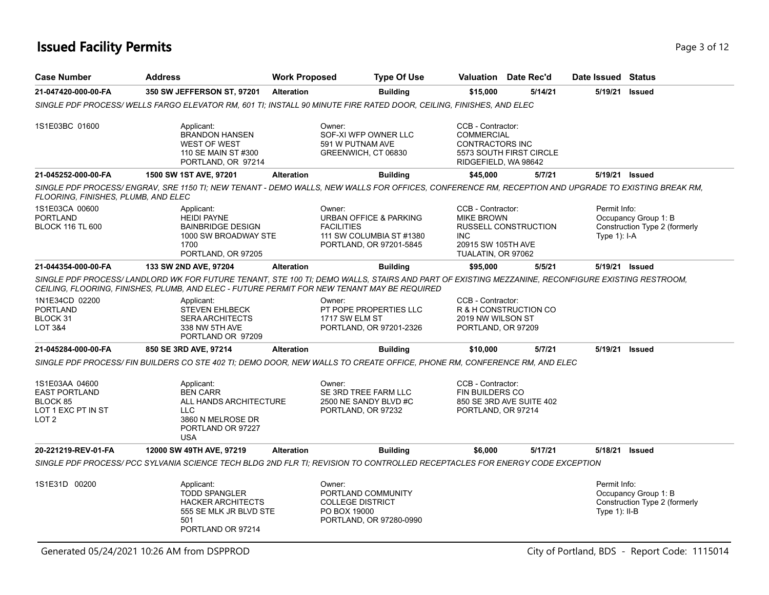## **Issued Facility Permits** Page 1 of 12

| <b>Case Number</b>                                                                           | <b>Address</b>                                                                                                                                                                                                                                 | <b>Work Proposed</b> | <b>Type Of Use</b>                                                                                                      |                                                                                                  | <b>Valuation</b> Date Rec'd | Date Issued Status               |                                                       |
|----------------------------------------------------------------------------------------------|------------------------------------------------------------------------------------------------------------------------------------------------------------------------------------------------------------------------------------------------|----------------------|-------------------------------------------------------------------------------------------------------------------------|--------------------------------------------------------------------------------------------------|-----------------------------|----------------------------------|-------------------------------------------------------|
| 21-047420-000-00-FA                                                                          | 350 SW JEFFERSON ST, 97201                                                                                                                                                                                                                     | <b>Alteration</b>    | <b>Building</b>                                                                                                         | \$15,000                                                                                         | 5/14/21                     | 5/19/21                          | <b>Issued</b>                                         |
|                                                                                              | SINGLE PDF PROCESS/WELLS FARGO ELEVATOR RM, 601 TI; INSTALL 90 MINUTE FIRE RATED DOOR, CEILING, FINISHES, AND ELEC                                                                                                                             |                      |                                                                                                                         |                                                                                                  |                             |                                  |                                                       |
| 1S1E03BC 01600                                                                               | Applicant:<br><b>BRANDON HANSEN</b><br><b>WEST OF WEST</b><br>110 SE MAIN ST #300<br>PORTLAND, OR 97214                                                                                                                                        |                      | Owner:<br>SOF-XI WFP OWNER LLC<br>591 W PUTNAM AVE<br>GREENWICH, CT 06830                                               | CCB - Contractor:<br><b>COMMERCIAL</b><br>CONTRACTORS INC<br>RIDGEFIELD, WA 98642                | 5573 SOUTH FIRST CIRCLE     |                                  |                                                       |
| 21-045252-000-00-FA                                                                          | 1500 SW 1ST AVE, 97201                                                                                                                                                                                                                         | <b>Alteration</b>    | <b>Building</b>                                                                                                         | \$45,000                                                                                         | 5/7/21                      | 5/19/21 Issued                   |                                                       |
| FLOORING, FINISHES, PLUMB, AND ELEC                                                          | SINGLE PDF PROCESS/ENGRAV, SRE 1150 TI; NEW TENANT - DEMO WALLS, NEW WALLS FOR OFFICES, CONFERENCE RM, RECEPTION AND UPGRADE TO EXISTING BREAK RM,                                                                                             |                      |                                                                                                                         |                                                                                                  |                             |                                  |                                                       |
| 1S1E03CA 00600<br><b>PORTLAND</b><br><b>BLOCK 116 TL 600</b>                                 | Applicant:<br><b>HEIDI PAYNE</b><br><b>BAINBRIDGE DESIGN</b><br>1000 SW BROADWAY STE<br>1700<br>PORTLAND, OR 97205                                                                                                                             |                      | Owner:<br><b>URBAN OFFICE &amp; PARKING</b><br><b>FACILITIES</b><br>111 SW COLUMBIA ST #1380<br>PORTLAND, OR 97201-5845 | CCB - Contractor:<br><b>MIKE BROWN</b><br><b>INC</b><br>20915 SW 105TH AVE<br>TUALATIN, OR 97062 | RUSSELL CONSTRUCTION        | Permit Info:<br>Type $1$ ): I-A  | Occupancy Group 1: B<br>Construction Type 2 (formerly |
| 21-044354-000-00-FA                                                                          | 133 SW 2ND AVE, 97204                                                                                                                                                                                                                          | <b>Alteration</b>    | <b>Building</b>                                                                                                         | \$95,000                                                                                         | 5/5/21                      | 5/19/21 Issued                   |                                                       |
|                                                                                              | SINGLE PDF PROCESS/LANDLORD WK FOR FUTURE TENANT, STE 100 TI; DEMO WALLS, STAIRS AND PART OF EXISTING MEZZANINE, RECONFIGURE EXISTING RESTROOM,<br>CEILING, FLOORING, FINISHES, PLUMB, AND ELEC - FUTURE PERMIT FOR NEW TENANT MAY BE REQUIRED |                      |                                                                                                                         |                                                                                                  |                             |                                  |                                                       |
| 1N1E34CD 02200<br><b>PORTLAND</b><br>BLOCK 31<br>LOT 3&4                                     | Applicant:<br><b>STEVEN EHLBECK</b><br><b>SERA ARCHITECTS</b><br>338 NW 5TH AVE<br>PORTLAND OR 97209                                                                                                                                           |                      | Owner:<br>PT POPE PROPERTIES LLC<br>1717 SW ELM ST<br>PORTLAND, OR 97201-2326                                           | CCB - Contractor:<br>2019 NW WILSON ST<br>PORTLAND, OR 97209                                     | R & H CONSTRUCTION CO       |                                  |                                                       |
| 21-045284-000-00-FA                                                                          | 850 SE 3RD AVE, 97214                                                                                                                                                                                                                          | <b>Alteration</b>    | <b>Building</b>                                                                                                         | \$10,000                                                                                         | 5/7/21                      | 5/19/21                          | <b>Issued</b>                                         |
|                                                                                              | SINGLE PDF PROCESS/ FIN BUILDERS CO STE 402 TI; DEMO DOOR, NEW WALLS TO CREATE OFFICE, PHONE RM, CONFERENCE RM, AND ELEC                                                                                                                       |                      |                                                                                                                         |                                                                                                  |                             |                                  |                                                       |
| 1S1E03AA 04600<br><b>EAST PORTLAND</b><br>BLOCK 85<br>LOT 1 EXC PT IN ST<br>LOT <sub>2</sub> | Applicant:<br><b>BEN CARR</b><br>ALL HANDS ARCHITECTURE<br>LLC.<br>3860 N MELROSE DR<br>PORTLAND OR 97227<br><b>USA</b>                                                                                                                        |                      | Owner:<br>SE 3RD TREE FARM LLC<br>2500 NE SANDY BLVD #C<br>PORTLAND, OR 97232                                           | CCB - Contractor:<br><b>FIN BUILDERS CO</b><br>PORTLAND, OR 97214                                | 850 SE 3RD AVE SUITE 402    |                                  |                                                       |
| 20-221219-REV-01-FA                                                                          | 12000 SW 49TH AVE, 97219                                                                                                                                                                                                                       | <b>Alteration</b>    | <b>Building</b>                                                                                                         | \$6,000                                                                                          | 5/17/21                     | 5/18/21                          | <b>Issued</b>                                         |
|                                                                                              | SINGLE PDF PROCESS/ PCC SYLVANIA SCIENCE TECH BLDG 2ND FLR TI: REVISION TO CONTROLLED RECEPTACLES FOR ENERGY CODE EXCEPTION                                                                                                                    |                      |                                                                                                                         |                                                                                                  |                             |                                  |                                                       |
| 1S1E31D 00200                                                                                | Applicant:<br><b>TODD SPANGLER</b><br><b>HACKER ARCHITECTS</b><br>555 SE MLK JR BLVD STE<br>501<br>PORTLAND OR 97214                                                                                                                           |                      | Owner:<br>PORTLAND COMMUNITY<br><b>COLLEGE DISTRICT</b><br>PO BOX 19000<br>PORTLAND, OR 97280-0990                      |                                                                                                  |                             | Permit Info:<br>Type $1$ ): II-B | Occupancy Group 1: B<br>Construction Type 2 (formerly |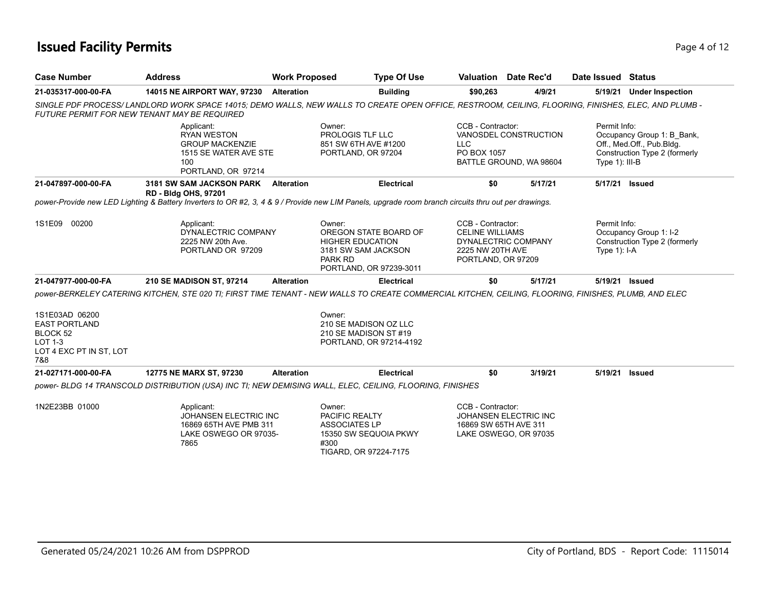## **Issued Facility Permits** Page 4 of 12

| <b>Case Number</b>                                                                              | <b>Address</b>                                                                                                                                        | <b>Work Proposed</b> |                                                                                                                         | <b>Type Of Use</b> |                                                                                       | <b>Valuation</b> Date Rec'd                      | Date Issued Status             |                                                                                          |
|-------------------------------------------------------------------------------------------------|-------------------------------------------------------------------------------------------------------------------------------------------------------|----------------------|-------------------------------------------------------------------------------------------------------------------------|--------------------|---------------------------------------------------------------------------------------|--------------------------------------------------|--------------------------------|------------------------------------------------------------------------------------------|
| 21-035317-000-00-FA                                                                             | 14015 NE AIRPORT WAY, 97230                                                                                                                           | <b>Alteration</b>    |                                                                                                                         | <b>Building</b>    | \$90,263                                                                              | 4/9/21                                           | 5/19/21                        | <b>Under Inspection</b>                                                                  |
| <b>FUTURE PERMIT FOR NEW TENANT MAY BE REQUIRED</b>                                             | SINGLE PDF PROCESS/LANDLORD WORK SPACE 14015; DEMO WALLS, NEW WALLS TO CREATE OPEN OFFICE, RESTROOM, CEILING, FLOORING, FINISHES, ELEC, AND PLUMB -   |                      |                                                                                                                         |                    |                                                                                       |                                                  |                                |                                                                                          |
|                                                                                                 | Applicant:<br><b>RYAN WESTON</b><br><b>GROUP MACKENZIE</b><br>1515 SE WATER AVE STE<br>100<br>PORTLAND, OR 97214                                      |                      | Owner:<br>PROLOGIS TLF LLC<br>851 SW 6TH AVE #1200<br>PORTLAND, OR 97204                                                |                    | CCB - Contractor:<br><b>LLC</b><br>PO BOX 1057                                        | VANOSDEL CONSTRUCTION<br>BATTLE GROUND, WA 98604 | Permit Info:<br>Type 1): III-B | Occupancy Group 1: B Bank,<br>Off., Med.Off., Pub.Bldg.<br>Construction Type 2 (formerly |
| 21-047897-000-00-FA                                                                             | 3181 SW SAM JACKSON PARK Alteration<br><b>RD - Bldg OHS, 97201</b>                                                                                    |                      |                                                                                                                         | <b>Electrical</b>  | \$0                                                                                   | 5/17/21                                          | 5/17/21 Issued                 |                                                                                          |
|                                                                                                 | power-Provide new LED Lighting & Battery Inverters to OR #2, 3, 4 & 9 / Provide new LIM Panels, upgrade room branch circuits thru out per drawings.   |                      |                                                                                                                         |                    |                                                                                       |                                                  |                                |                                                                                          |
| 1S1E09 00200                                                                                    | Applicant:<br>DYNALECTRIC COMPANY<br>2225 NW 20th Ave.<br>PORTLAND OR 97209                                                                           |                      | Owner:<br>OREGON STATE BOARD OF<br><b>HIGHER EDUCATION</b><br>3181 SW SAM JACKSON<br>PARK RD<br>PORTLAND, OR 97239-3011 |                    | CCB - Contractor:<br><b>CELINE WILLIAMS</b><br>2225 NW 20TH AVE<br>PORTLAND, OR 97209 | DYNALECTRIC COMPANY                              | Permit Info:<br>Type $1$ : I-A | Occupancy Group 1: I-2<br>Construction Type 2 (formerly                                  |
| 21-047977-000-00-FA                                                                             | 210 SE MADISON ST, 97214                                                                                                                              | <b>Alteration</b>    |                                                                                                                         | <b>Electrical</b>  | \$0                                                                                   | 5/17/21                                          | 5/19/21 Issued                 |                                                                                          |
|                                                                                                 | DOWER-BERKELEY CATERING KITCHEN, STE 020 TI; FIRST TIME TENANT - NEW WALLS TO CREATE COMMERCIAL KITCHEN, CEILING, FLOORING, FINISHES, PLUMB, AND ELEC |                      |                                                                                                                         |                    |                                                                                       |                                                  |                                |                                                                                          |
| 1S1E03AD 06200<br><b>EAST PORTLAND</b><br>BLOCK 52<br>LOT 1-3<br>LOT 4 EXC PT IN ST, LOT<br>7&8 |                                                                                                                                                       |                      | Owner:<br>210 SE MADISON OZ LLC<br>210 SE MADISON ST #19<br>PORTLAND, OR 97214-4192                                     |                    |                                                                                       |                                                  |                                |                                                                                          |
| 21-027171-000-00-FA                                                                             | 12775 NE MARX ST, 97230                                                                                                                               | <b>Alteration</b>    |                                                                                                                         | <b>Electrical</b>  | \$0                                                                                   | 3/19/21                                          | 5/19/21                        | Issued                                                                                   |
|                                                                                                 | power- BLDG 14 TRANSCOLD DISTRIBUTION (USA) INC TI; NEW DEMISING WALL, ELEC, CEILING, FLOORING, FINISHES                                              |                      |                                                                                                                         |                    |                                                                                       |                                                  |                                |                                                                                          |
| 1N2E23BB 01000                                                                                  | Applicant:<br>JOHANSEN ELECTRIC INC<br>16869 65TH AVE PMB 311<br>LAKE OSWEGO OR 97035-<br>7865                                                        |                      | Owner:<br>PACIFIC REALTY<br><b>ASSOCIATES LP</b><br>15350 SW SEQUOIA PKWY<br>#300<br>TIGARD, OR 97224-7175              |                    | CCB - Contractor:<br>16869 SW 65TH AVE 311                                            | JOHANSEN ELECTRIC INC<br>LAKE OSWEGO, OR 97035   |                                |                                                                                          |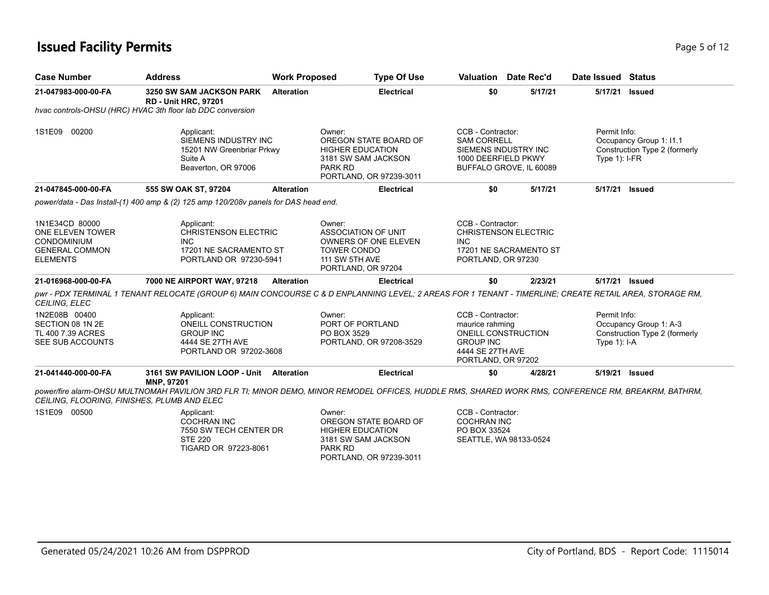## **Issued Facility Permits** Page 1 2 and 2 and 2 and 2 and 2 and 2 and 2 and 2 and 2 and 2 and 2 and 2 and 2 and 2 and 2 and 2 and 2 and 2 and 2 and 2 and 2 and 2 and 2 and 2 and 2 and 2 and 2 and 2 and 2 and 2 and 2 and 2 a

| <b>Case Number</b>                                                                                   | <b>Address</b>                                                                                                        | <b>Work Proposed</b> | <b>Type Of Use</b>                                                                                                                | Valuation                                                                                                                 | Date Rec'd | Date Issued Status                                                                                                                                      |
|------------------------------------------------------------------------------------------------------|-----------------------------------------------------------------------------------------------------------------------|----------------------|-----------------------------------------------------------------------------------------------------------------------------------|---------------------------------------------------------------------------------------------------------------------------|------------|---------------------------------------------------------------------------------------------------------------------------------------------------------|
| 21-047983-000-00-FA                                                                                  | 3250 SW SAM JACKSON PARK<br><b>RD - Unit HRC, 97201</b><br>hvac controls-OHSU (HRC) HVAC 3th floor lab DDC conversion | <b>Alteration</b>    | <b>Electrical</b>                                                                                                                 | \$0                                                                                                                       | 5/17/21    | 5/17/21<br><b>Issued</b>                                                                                                                                |
|                                                                                                      |                                                                                                                       |                      |                                                                                                                                   |                                                                                                                           |            |                                                                                                                                                         |
| 1S1E09 00200                                                                                         | Applicant:<br>SIEMENS INDUSTRY INC<br>15201 NW Greenbriar Prkwy<br>Suite A<br>Beaverton, OR 97006                     |                      | Owner:<br>OREGON STATE BOARD OF<br><b>HIGHER EDUCATION</b><br>3181 SW SAM JACKSON<br>PARK RD<br>PORTLAND, OR 97239-3011           | CCB - Contractor:<br><b>SAM CORRELL</b><br>SIEMENS INDUSTRY INC<br>1000 DEERFIELD PKWY<br>BUFFALO GROVE, IL 60089         |            | Permit Info:<br>Occupancy Group 1: 11.1<br>Construction Type 2 (formerly<br>Type $1$ : I-FR                                                             |
| 21-047845-000-00-FA                                                                                  | 555 SW OAK ST, 97204                                                                                                  | <b>Alteration</b>    | <b>Electrical</b>                                                                                                                 | \$0                                                                                                                       | 5/17/21    | 5/17/21<br><b>Issued</b>                                                                                                                                |
|                                                                                                      | power/data - Das Install-(1) 400 amp & (2) 125 amp 120/208v panels for DAS head end.                                  |                      |                                                                                                                                   |                                                                                                                           |            |                                                                                                                                                         |
| 1N1E34CD 80000<br>ONE ELEVEN TOWER<br><b>CONDOMINIUM</b><br><b>GENERAL COMMON</b><br><b>ELEMENTS</b> | Applicant:<br><b>CHRISTENSON ELECTRIC</b><br>INC.<br>17201 NE SACRAMENTO ST<br>PORTLAND OR 97230-5941                 |                      | Owner:<br><b>ASSOCIATION OF UNIT</b><br>OWNERS OF ONE ELEVEN<br><b>TOWER CONDO</b><br><b>111 SW 5TH AVE</b><br>PORTLAND, OR 97204 | CCB - Contractor:<br><b>CHRISTENSON ELECTRIC</b><br>INC.<br>17201 NE SACRAMENTO ST<br>PORTLAND, OR 97230                  |            |                                                                                                                                                         |
| 21-016968-000-00-FA                                                                                  | 7000 NE AIRPORT WAY, 97218                                                                                            | <b>Alteration</b>    | <b>Electrical</b>                                                                                                                 | \$0                                                                                                                       | 2/23/21    | 5/17/21 Issued                                                                                                                                          |
| CEILING, ELEC                                                                                        |                                                                                                                       |                      |                                                                                                                                   |                                                                                                                           |            | pwr - PDX TERMINAL 1 TENANT RELOCATE (GROUP 6) MAIN CONCOURSE C & D ENPLANNING LEVEL; 2 AREAS FOR 1 TENANT - TIMERLINE; CREATE RETAIL AREA, STORAGE RM, |
| 1N2E08B 00400<br>SECTION 08 1N 2E<br>TL 400 7.39 ACRES<br>SEE SUB ACCOUNTS                           | Applicant:<br>ONEILL CONSTRUCTION<br><b>GROUP INC</b><br>4444 SE 27TH AVE<br>PORTLAND OR 97202-3608                   |                      | Owner:<br>PORT OF PORTLAND<br>PO BOX 3529<br>PORTLAND, OR 97208-3529                                                              | CCB - Contractor:<br>maurice rahming<br>ONEILL CONSTRUCTION<br><b>GROUP INC</b><br>4444 SE 27TH AVE<br>PORTLAND, OR 97202 |            | Permit Info:<br>Occupancy Group 1: A-3<br>Construction Type 2 (formerly<br>Type $1$ : I-A                                                               |
| 21-041440-000-00-FA                                                                                  | 3161 SW PAVILION LOOP - Unit<br>MNP, 97201                                                                            | <b>Alteration</b>    | <b>Electrical</b>                                                                                                                 | \$0                                                                                                                       | 4/28/21    | 5/19/21<br>Issued                                                                                                                                       |
| CEILING, FLOORING, FINISHES, PLUMB AND ELEC                                                          |                                                                                                                       |                      |                                                                                                                                   |                                                                                                                           |            | power/fire alarm-OHSU MULTNOMAH PAVILION 3RD FLR TI; MINOR DEMO, MINOR REMODEL OFFICES, HUDDLE RMS, SHARED WORK RMS, CONFERENCE RM, BREAKRM, BATHRM,    |
| 1S1E09 00500                                                                                         | Applicant:<br><b>COCHRAN INC</b><br>7550 SW TECH CENTER DR<br><b>STE 220</b><br>TIGARD OR 97223-8061                  |                      | Owner:<br>OREGON STATE BOARD OF<br><b>HIGHER EDUCATION</b><br>3181 SW SAM JACKSON<br><b>PARK RD</b><br>PORTLAND, OR 97239-3011    | CCB - Contractor:<br><b>COCHRAN INC</b><br>PO BOX 33524<br>SEATTLE, WA 98133-0524                                         |            |                                                                                                                                                         |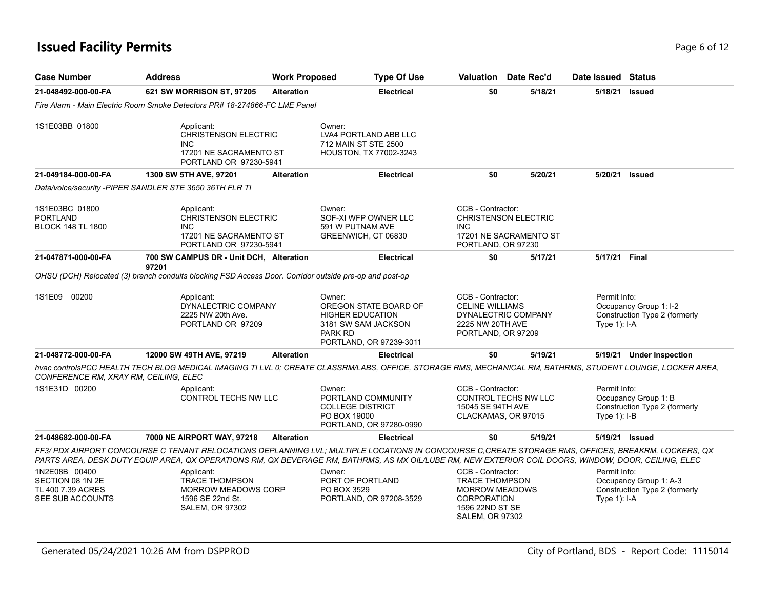## **Issued Facility Permits** Page 6 of 12

| <b>Case Number</b>                                                         | <b>Address</b>                                                                                                                                                                                                                                                                                              | <b>Work Proposed</b> | <b>Type Of Use</b>                                                                                                      |                                                                                                                                        | Valuation Date Rec'd                                  | Date Issued Status             |                                                         |
|----------------------------------------------------------------------------|-------------------------------------------------------------------------------------------------------------------------------------------------------------------------------------------------------------------------------------------------------------------------------------------------------------|----------------------|-------------------------------------------------------------------------------------------------------------------------|----------------------------------------------------------------------------------------------------------------------------------------|-------------------------------------------------------|--------------------------------|---------------------------------------------------------|
| 21-048492-000-00-FA                                                        | 621 SW MORRISON ST, 97205                                                                                                                                                                                                                                                                                   | <b>Alteration</b>    | <b>Electrical</b>                                                                                                       | \$0                                                                                                                                    | 5/18/21                                               | 5/18/21 Issued                 |                                                         |
|                                                                            | Fire Alarm - Main Electric Room Smoke Detectors PR# 18-274866-FC LME Panel                                                                                                                                                                                                                                  |                      |                                                                                                                         |                                                                                                                                        |                                                       |                                |                                                         |
| 1S1E03BB 01800                                                             | Applicant:<br><b>CHRISTENSON ELECTRIC</b><br><b>INC</b><br>17201 NE SACRAMENTO ST<br>PORTLAND OR 97230-5941                                                                                                                                                                                                 |                      | Owner:<br>LVA4 PORTLAND ABB LLC<br>712 MAIN ST STE 2500<br><b>HOUSTON, TX 77002-3243</b>                                |                                                                                                                                        |                                                       |                                |                                                         |
| 21-049184-000-00-FA                                                        | 1300 SW 5TH AVE, 97201                                                                                                                                                                                                                                                                                      | <b>Alteration</b>    | <b>Electrical</b>                                                                                                       | \$0                                                                                                                                    | 5/20/21                                               | 5/20/21 Issued                 |                                                         |
|                                                                            | Data/voice/security -PIPER SANDLER STE 3650 36TH FLR TI                                                                                                                                                                                                                                                     |                      |                                                                                                                         |                                                                                                                                        |                                                       |                                |                                                         |
| 1S1E03BC 01800<br><b>PORTLAND</b><br><b>BLOCK 148 TL 1800</b>              | Applicant:<br><b>CHRISTENSON ELECTRIC</b><br><b>INC</b><br>17201 NE SACRAMENTO ST<br>PORTLAND OR 97230-5941                                                                                                                                                                                                 |                      | Owner:<br>SOF-XI WFP OWNER LLC<br>591 W PUTNAM AVE<br>GREENWICH, CT 06830                                               | CCB - Contractor:<br><b>INC</b><br>PORTLAND, OR 97230                                                                                  | <b>CHRISTENSON ELECTRIC</b><br>17201 NE SACRAMENTO ST |                                |                                                         |
| 21-047871-000-00-FA                                                        | 700 SW CAMPUS DR - Unit DCH, Alteration                                                                                                                                                                                                                                                                     |                      | <b>Electrical</b>                                                                                                       | \$0                                                                                                                                    | 5/17/21                                               | 5/17/21 Final                  |                                                         |
|                                                                            | 97201<br>OHSU (DCH) Relocated (3) branch conduits blocking FSD Access Door. Corridor outside pre-op and post-op                                                                                                                                                                                             |                      |                                                                                                                         |                                                                                                                                        |                                                       |                                |                                                         |
| 1S1E09 00200                                                               | Applicant:<br>DYNALECTRIC COMPANY<br>2225 NW 20th Ave.<br>PORTLAND OR 97209                                                                                                                                                                                                                                 |                      | Owner:<br>OREGON STATE BOARD OF<br><b>HIGHER EDUCATION</b><br>3181 SW SAM JACKSON<br>PARK RD<br>PORTLAND, OR 97239-3011 | CCB - Contractor:<br><b>CELINE WILLIAMS</b><br>2225 NW 20TH AVE<br>PORTLAND, OR 97209                                                  | DYNALECTRIC COMPANY                                   | Permit Info:<br>Type $1$ : I-A | Occupancy Group 1: I-2<br>Construction Type 2 (formerly |
| 21-048772-000-00-FA                                                        | 12000 SW 49TH AVE, 97219                                                                                                                                                                                                                                                                                    | <b>Alteration</b>    | <b>Electrical</b>                                                                                                       | \$0                                                                                                                                    | 5/19/21                                               |                                | 5/19/21 Under Inspection                                |
| CONFERENCE RM, XRAY RM, CEILING, ELEC                                      | hvac controisPCC HEALTH TECH BLDG MEDICAL IMAGING TI LVL 0; CREATE CLASSRM/LABS, OFFICE, STORAGE RMS, MECHANICAL RM, BATHRMS, STUDENT LOUNGE, LOCKER AREA,                                                                                                                                                  |                      |                                                                                                                         |                                                                                                                                        |                                                       |                                |                                                         |
| 1S1E31D 00200                                                              | Applicant:<br>CONTROL TECHS NW LLC                                                                                                                                                                                                                                                                          |                      | Owner:<br>PORTLAND COMMUNITY<br><b>COLLEGE DISTRICT</b><br>PO BOX 19000<br>PORTLAND, OR 97280-0990                      | CCB - Contractor:<br>15045 SE 94TH AVE<br>CLACKAMAS, OR 97015                                                                          | CONTROL TECHS NW LLC                                  | Permit Info:<br>Type $1$ : I-B | Occupancy Group 1: B<br>Construction Type 2 (formerly   |
| 21-048682-000-00-FA                                                        | 7000 NE AIRPORT WAY, 97218                                                                                                                                                                                                                                                                                  | <b>Alteration</b>    | <b>Electrical</b>                                                                                                       | \$0                                                                                                                                    | 5/19/21                                               | 5/19/21 Issued                 |                                                         |
|                                                                            | FF3/ PDX AIRPORT CONCOURSE C TENANT RELOCATIONS DEPLANNING LVL; MULTIPLE LOCATIONS IN CONCOURSE C.CREATE STORAGE RMS, OFFICES, BREAKRM, LOCKERS, QX<br>PARTS AREA, DESK DUTY EQUIP AREA, QX OPERATIONS RM, QX BEVERAGE RM, BATHRMS, AS MX OIL/LUBE RM, NEW EXTERIOR COIL DOORS, WINDOW, DOOR, CEILING, ELEC |                      |                                                                                                                         |                                                                                                                                        |                                                       |                                |                                                         |
| 1N2E08B 00400<br>SECTION 08 1N 2E<br>TL 400 7.39 ACRES<br>SEE SUB ACCOUNTS | Applicant:<br><b>TRACE THOMPSON</b><br><b>MORROW MEADOWS CORP</b><br>1596 SE 22nd St.<br><b>SALEM, OR 97302</b>                                                                                                                                                                                             |                      | Owner:<br>PORT OF PORTLAND<br>PO BOX 3529<br>PORTLAND, OR 97208-3529                                                    | CCB - Contractor:<br><b>TRACE THOMPSON</b><br><b>MORROW MEADOWS</b><br><b>CORPORATION</b><br>1596 22ND ST SE<br><b>SALEM, OR 97302</b> |                                                       | Permit Info:<br>Type $1$ : I-A | Occupancy Group 1: A-3<br>Construction Type 2 (formerly |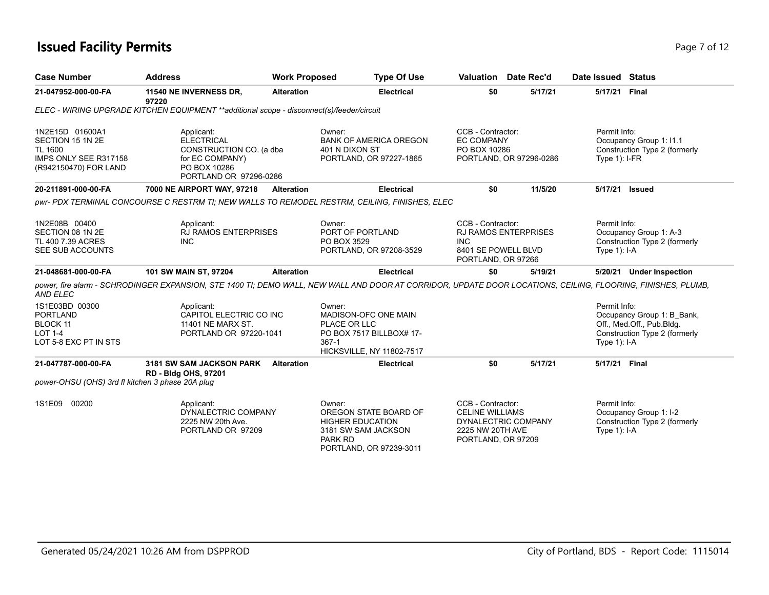## **Issued Facility Permits** Page 7 of 12

| <b>Case Number</b>                                                                                      | <b>Address</b>                                                                                                                                               | <b>Work Proposed</b> | <b>Type Of Use</b>                                                                                                             |            |                                                                 | <b>Valuation</b> Date Rec'd                                              | Date Issued Status              |                                                                                          |
|---------------------------------------------------------------------------------------------------------|--------------------------------------------------------------------------------------------------------------------------------------------------------------|----------------------|--------------------------------------------------------------------------------------------------------------------------------|------------|-----------------------------------------------------------------|--------------------------------------------------------------------------|---------------------------------|------------------------------------------------------------------------------------------|
| 21-047952-000-00-FA                                                                                     | 11540 NE INVERNESS DR.<br>97220                                                                                                                              | <b>Alteration</b>    | <b>Electrical</b>                                                                                                              |            | \$0                                                             | 5/17/21                                                                  | 5/17/21 Final                   |                                                                                          |
|                                                                                                         | ELEC - WIRING UPGRADE KITCHEN EQUIPMENT **additional scope - disconnect(s)/feeder/circuit                                                                    |                      |                                                                                                                                |            |                                                                 |                                                                          |                                 |                                                                                          |
| 1N2E15D 01600A1<br>SECTION 15 1N 2E<br><b>TL 1600</b><br>IMPS ONLY SEE R317158<br>(R942150470) FOR LAND | Applicant:<br><b>ELECTRICAL</b><br>CONSTRUCTION CO. (a dba<br>for EC COMPANY)<br>PO BOX 10286<br>PORTLAND OR 97296-0286                                      |                      | Owner:<br><b>BANK OF AMERICA OREGON</b><br>401 N DIXON ST<br>PORTLAND, OR 97227-1865                                           |            | CCB - Contractor:<br><b>EC COMPANY</b><br>PO BOX 10286          | PORTLAND, OR 97296-0286                                                  | Permit Info:<br>Type $1$ : I-FR | Occupancy Group 1: I1.1<br>Construction Type 2 (formerly                                 |
| 20-211891-000-00-FA                                                                                     | 7000 NE AIRPORT WAY, 97218                                                                                                                                   | <b>Alteration</b>    | <b>Electrical</b>                                                                                                              |            | \$0                                                             | 11/5/20                                                                  | 5/17/21 Issued                  |                                                                                          |
|                                                                                                         | pwr- PDX TERMINAL CONCOURSE C RESTRM TI: NEW WALLS TO REMODEL RESTRM, CEILING, FINISHES, ELEC                                                                |                      |                                                                                                                                |            |                                                                 |                                                                          |                                 |                                                                                          |
| 1N2E08B 00400<br>SECTION 08 1N 2E<br>TL 400 7.39 ACRES<br>SEE SUB ACCOUNTS                              | Applicant:<br><b>RJ RAMOS ENTERPRISES</b><br><b>INC</b>                                                                                                      |                      | Owner:<br>PORT OF PORTLAND<br>PO BOX 3529<br>PORTLAND, OR 97208-3529                                                           | <b>INC</b> | CCB - Contractor:                                               | <b>RJ RAMOS ENTERPRISES</b><br>8401 SE POWELL BLVD<br>PORTLAND, OR 97266 | Permit Info:<br>Type $1$ : I-A  | Occupancy Group 1: A-3<br>Construction Type 2 (formerly                                  |
| 21-048681-000-00-FA                                                                                     | 101 SW MAIN ST, 97204                                                                                                                                        | <b>Alteration</b>    | <b>Electrical</b>                                                                                                              |            | \$0                                                             | 5/19/21                                                                  |                                 | 5/20/21 Under Inspection                                                                 |
| <b>AND ELEC</b>                                                                                         | power, fire alarm - SCHRODINGER EXPANSION, STE 1400 TI; DEMO WALL, NEW WALL AND DOOR AT CORRIDOR, UPDATE DOOR LOCATIONS, CEILING, FLOORING, FINISHES, PLUMB, |                      |                                                                                                                                |            |                                                                 |                                                                          |                                 |                                                                                          |
| 1S1E03BD 00300<br><b>PORTLAND</b><br>BLOCK 11<br><b>LOT 1-4</b><br>LOT 5-8 EXC PT IN STS                | Applicant:<br>CAPITOL ELECTRIC CO INC<br>11401 NE MARX ST.<br>PORTLAND OR 97220-1041                                                                         |                      | Owner:<br>MADISON-OFC ONE MAIN<br>PLACE OR LLC<br>PO BOX 7517 BILLBOX# 17-<br>$367-1$<br><b>HICKSVILLE, NY 11802-7517</b>      |            |                                                                 |                                                                          | Permit Info:<br>Type $1$ : I-A  | Occupancy Group 1: B_Bank,<br>Off., Med.Off., Pub.Bldg.<br>Construction Type 2 (formerly |
| 21-047787-000-00-FA                                                                                     | <b>3181 SW SAM JACKSON PARK</b><br><b>RD - Bldg OHS, 97201</b>                                                                                               | <b>Alteration</b>    | <b>Electrical</b>                                                                                                              |            | \$0                                                             | 5/17/21                                                                  | 5/17/21 Final                   |                                                                                          |
| power-OHSU (OHS) 3rd fl kitchen 3 phase 20A plug                                                        |                                                                                                                                                              |                      |                                                                                                                                |            |                                                                 |                                                                          |                                 |                                                                                          |
| 1S1E09 00200                                                                                            | Applicant:<br>DYNALECTRIC COMPANY<br>2225 NW 20th Ave.<br>PORTLAND OR 97209                                                                                  |                      | Owner:<br>OREGON STATE BOARD OF<br><b>HIGHER EDUCATION</b><br>3181 SW SAM JACKSON<br><b>PARK RD</b><br>PORTLAND, OR 97239-3011 |            | CCB - Contractor:<br><b>CELINE WILLIAMS</b><br>2225 NW 20TH AVE | DYNALECTRIC COMPANY<br>PORTLAND, OR 97209                                | Permit Info:<br>Type $1$ : I-A  | Occupancy Group 1: I-2<br>Construction Type 2 (formerly                                  |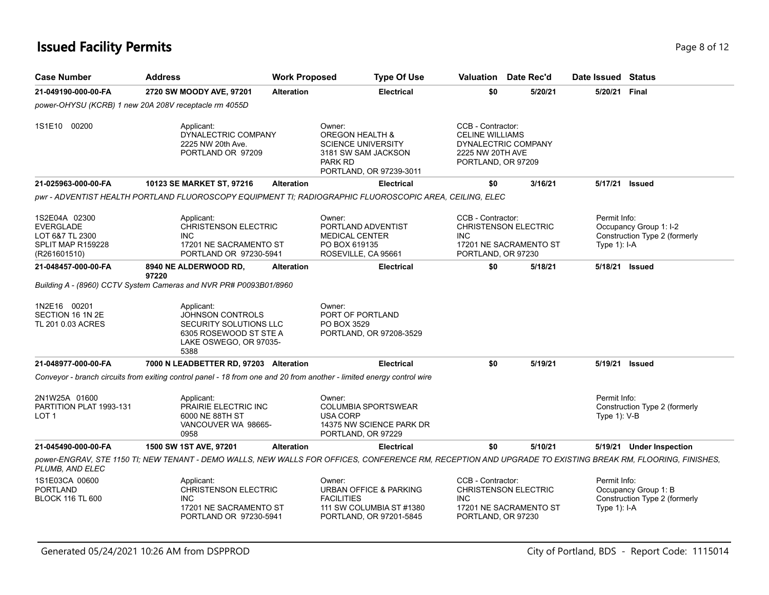## **Issued Facility Permits** Page 8 of 12

| <b>Case Number</b>                                                                 | <b>Address</b>                                                                                                                                                                            | <b>Work Proposed</b> | <b>Type Of Use</b>                                                                                                                                        |                                                                                       | Valuation Date Rec'd                                  | Date Issued Status              |                                                         |
|------------------------------------------------------------------------------------|-------------------------------------------------------------------------------------------------------------------------------------------------------------------------------------------|----------------------|-----------------------------------------------------------------------------------------------------------------------------------------------------------|---------------------------------------------------------------------------------------|-------------------------------------------------------|---------------------------------|---------------------------------------------------------|
| 21-049190-000-00-FA                                                                | 2720 SW MOODY AVE, 97201                                                                                                                                                                  | <b>Alteration</b>    | <b>Electrical</b>                                                                                                                                         | \$0                                                                                   | 5/20/21                                               | 5/20/21 Final                   |                                                         |
|                                                                                    | power-OHYSU (KCRB) 1 new 20A 208V receptacle rm 4055D                                                                                                                                     |                      |                                                                                                                                                           |                                                                                       |                                                       |                                 |                                                         |
| 1S1E10 00200                                                                       | Applicant:<br>DYNALECTRIC COMPANY<br>2225 NW 20th Ave.<br>PORTLAND OR 97209                                                                                                               |                      | Owner:<br>OREGON HEALTH &<br><b>SCIENCE UNIVERSITY</b><br>3181 SW SAM JACKSON<br><b>PARK RD</b><br>PORTLAND, OR 97239-3011                                | CCB - Contractor:<br><b>CELINE WILLIAMS</b><br>2225 NW 20TH AVE<br>PORTLAND, OR 97209 | DYNALECTRIC COMPANY                                   |                                 |                                                         |
| 21-025963-000-00-FA                                                                | 10123 SE MARKET ST, 97216                                                                                                                                                                 | <b>Alteration</b>    | <b>Electrical</b>                                                                                                                                         | \$0                                                                                   | 3/16/21                                               |                                 | 5/17/21 <b>Issued</b>                                   |
|                                                                                    |                                                                                                                                                                                           |                      | pwr - ADVENTIST HEALTH PORTLAND FLUOROSCOPY EQUIPMENT TI; RADIOGRAPHIC FLUOROSCOPIC AREA, CEILING, ELEC                                                   |                                                                                       |                                                       |                                 |                                                         |
| 1S2E04A 02300<br>EVERGLADE<br>LOT 6&7 TL 2300<br>SPLIT MAP R159228<br>(R261601510) | Applicant:<br>CHRISTENSON ELECTRIC<br><b>INC</b><br>17201 NE SACRAMENTO ST<br>PORTLAND OR 97230-5941                                                                                      |                      | Owner:<br>PORTLAND ADVENTIST<br><b>MEDICAL CENTER</b><br>PO BOX 619135<br>ROSEVILLE, CA 95661                                                             | CCB - Contractor:<br><b>INC</b><br>PORTLAND, OR 97230                                 | <b>CHRISTENSON ELECTRIC</b><br>17201 NE SACRAMENTO ST | Permit Info:<br>Type $1$ : I-A  | Occupancy Group 1: I-2<br>Construction Type 2 (formerly |
| 21-048457-000-00-FA                                                                | 8940 NE ALDERWOOD RD,<br>97220                                                                                                                                                            | <b>Alteration</b>    | <b>Electrical</b>                                                                                                                                         | \$0                                                                                   | 5/18/21                                               | 5/18/21 Issued                  |                                                         |
| 1N2E16 00201<br>SECTION 16 1N 2E<br>TL 201 0.03 ACRES                              | Building A - (8960) CCTV System Cameras and NVR PR# P0093B01/8960<br>Applicant:<br>JOHNSON CONTROLS<br>SECURITY SOLUTIONS LLC<br>6305 ROSEWOOD ST STE A<br>LAKE OSWEGO, OR 97035-<br>5388 |                      | Owner:<br>PORT OF PORTLAND<br>PO BOX 3529<br>PORTLAND, OR 97208-3529                                                                                      |                                                                                       |                                                       |                                 |                                                         |
| 21-048977-000-00-FA                                                                | 7000 N LEADBETTER RD, 97203 Alteration<br>Conveyor - branch circuits from exiting control panel - 18 from one and 20 from another - limited energy control wire                           |                      | <b>Electrical</b>                                                                                                                                         | \$0                                                                                   | 5/19/21                                               | 5/19/21 Issued                  |                                                         |
| 2N1W25A 01600<br>PARTITION PLAT 1993-131<br>LOT 1                                  | Applicant:<br>PRAIRIE ELECTRIC INC<br>6000 NE 88TH ST<br>VANCOUVER WA 98665-<br>0958                                                                                                      |                      | Owner:<br><b>COLUMBIA SPORTSWEAR</b><br><b>USA CORP</b><br>14375 NW SCIENCE PARK DR<br>PORTLAND, OR 97229                                                 |                                                                                       |                                                       | Permit Info:<br>Type $1$ ): V-B | Construction Type 2 (formerly                           |
| 21-045490-000-00-FA                                                                | 1500 SW 1ST AVE, 97201                                                                                                                                                                    | <b>Alteration</b>    | <b>Electrical</b>                                                                                                                                         | \$0                                                                                   | 5/10/21                                               |                                 | 5/19/21 Under Inspection                                |
| PLUMB, AND ELEC                                                                    |                                                                                                                                                                                           |                      | power-ENGRAV, STE 1150 TI; NEW TENANT - DEMO WALLS, NEW WALLS FOR OFFICES, CONFERENCE RM, RECEPTION AND UPGRADE TO EXISTING BREAK RM, FLOORING, FINISHES, |                                                                                       |                                                       |                                 |                                                         |
| 1S1E03CA 00600<br>PORTLAND<br><b>BLOCK 116 TL 600</b>                              | Applicant:<br><b>CHRISTENSON ELECTRIC</b><br><b>INC</b><br>17201 NE SACRAMENTO ST<br>PORTLAND OR 97230-5941                                                                               |                      | Owner:<br><b>URBAN OFFICE &amp; PARKING</b><br><b>FACILITIES</b><br>111 SW COLUMBIA ST #1380<br>PORTLAND, OR 97201-5845                                   | CCB - Contractor:<br><b>INC</b><br>PORTLAND, OR 97230                                 | <b>CHRISTENSON ELECTRIC</b><br>17201 NE SACRAMENTO ST | Permit Info:<br>Type $1$ : I-A  | Occupancy Group 1: B<br>Construction Type 2 (formerly   |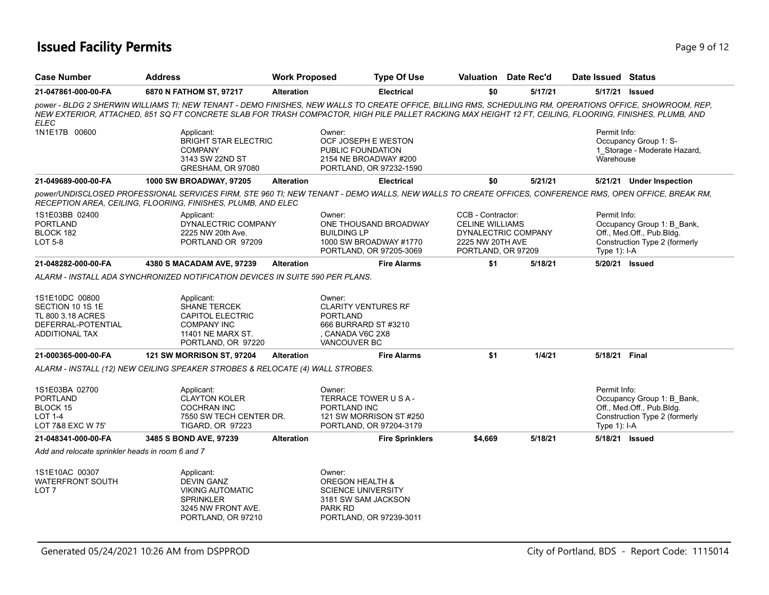## **Issued Facility Permits** Page 9 of 12

| Case Number                                                                                     | <b>Address</b>                                                                                                             | <b>Work Proposed</b> | <b>Type Of Use</b>                                                                                                                    | Valuation Date Rec'd                                                                                         |         | Date Issued Status                                                                                                                                                                                                                                                                                                   |
|-------------------------------------------------------------------------------------------------|----------------------------------------------------------------------------------------------------------------------------|----------------------|---------------------------------------------------------------------------------------------------------------------------------------|--------------------------------------------------------------------------------------------------------------|---------|----------------------------------------------------------------------------------------------------------------------------------------------------------------------------------------------------------------------------------------------------------------------------------------------------------------------|
| 21-047861-000-00-FA                                                                             | 6870 N FATHOM ST, 97217                                                                                                    | <b>Alteration</b>    | <b>Electrical</b>                                                                                                                     | \$0                                                                                                          | 5/17/21 | 5/17/21 Issued                                                                                                                                                                                                                                                                                                       |
| <b>ELEC</b>                                                                                     |                                                                                                                            |                      |                                                                                                                                       |                                                                                                              |         | power - BLDG 2 SHERWIN WILLIAMS TI; NEW TENANT - DEMO FINISHES, NEW WALLS TO CREATE OFFICE, BILLING RMS, SCHEDULING RM, OPERATIONS OFFICE, SHOWROOM, REP,<br>NEW EXTERIOR, ATTACHED, 851 SQ FT CONCRETE SLAB FOR TRASH COMPACTOR, HIGH PILE PALLET RACKING MAX HEIGHT 12 FT, CEILING, FLOORING, FINISHES, PLUMB, AND |
| 1N1E17B 00600                                                                                   | Applicant:<br><b>BRIGHT STAR ELECTRIC</b><br><b>COMPANY</b><br>3143 SW 22ND ST<br>GRESHAM, OR 97080                        |                      | Owner:<br>OCF JOSEPH E WESTON<br>PUBLIC FOUNDATION<br>2154 NE BROADWAY #200<br>PORTLAND, OR 97232-1590                                |                                                                                                              |         | Permit Info:<br>Occupancy Group 1: S-<br>1_Storage - Moderate Hazard,<br>Warehouse                                                                                                                                                                                                                                   |
| 21-049689-000-00-FA                                                                             | <b>1000 SW BROADWAY, 97205</b>                                                                                             | <b>Alteration</b>    | <b>Electrical</b>                                                                                                                     | \$0                                                                                                          | 5/21/21 | 5/21/21 Under Inspection                                                                                                                                                                                                                                                                                             |
|                                                                                                 | RECEPTION AREA, CEILING, FLOORING, FINISHES, PLUMB, AND ELEC                                                               |                      |                                                                                                                                       |                                                                                                              |         | power/UNDISCLOSED PROFESSIONAL SERVICES FIRM, STE 960 TI; NEW TENANT - DEMO WALLS, NEW WALLS TO CREATE OFFICES, CONFERENCE RMS, OPEN OFFICE, BREAK RM,                                                                                                                                                               |
| 1S1E03BB 02400<br><b>PORTLAND</b><br>BLOCK 182<br>LOT 5-8                                       | Applicant:<br>DYNALECTRIC COMPANY<br>2225 NW 20th Ave.<br>PORTLAND OR 97209                                                |                      | Owner:<br>ONE THOUSAND BROADWAY<br><b>BUILDING LP</b><br>1000 SW BROADWAY #1770<br>PORTLAND, OR 97205-3069                            | CCB - Contractor:<br><b>CELINE WILLIAMS</b><br>DYNALECTRIC COMPANY<br>2225 NW 20TH AVE<br>PORTLAND, OR 97209 |         | Permit Info:<br>Occupancy Group 1: B Bank,<br>Off., Med.Off., Pub.Bldg.<br>Construction Type 2 (formerly<br>Type $1$ : I-A                                                                                                                                                                                           |
| 21-048282-000-00-FA                                                                             | 4380 S MACADAM AVE, 97239                                                                                                  | <b>Alteration</b>    | <b>Fire Alarms</b>                                                                                                                    | \$1                                                                                                          | 5/18/21 | 5/20/21 Issued                                                                                                                                                                                                                                                                                                       |
|                                                                                                 | ALARM - INSTALL ADA SYNCHRONIZED NOTIFICATION DEVICES IN SUITE 590 PER PLANS.                                              |                      |                                                                                                                                       |                                                                                                              |         |                                                                                                                                                                                                                                                                                                                      |
| 1S1E10DC 00800<br>SECTION 10 1S 1E<br>TL 800 3.18 ACRES<br>DEFERRAL-POTENTIAL<br>ADDITIONAL TAX | Applicant:<br>SHANE TERCEK<br><b>CAPITOL ELECTRIC</b><br><b>COMPANY INC</b><br>11401 NE MARX ST.<br>PORTLAND, OR 97220     |                      | Owner:<br><b>CLARITY VENTURES RF</b><br><b>PORTLAND</b><br>666 BURRARD ST #3210<br>CANADA V6C 2X8<br><b>VANCOUVER BC</b>              |                                                                                                              |         |                                                                                                                                                                                                                                                                                                                      |
| 21-000365-000-00-FA                                                                             | 121 SW MORRISON ST, 97204                                                                                                  | <b>Alteration</b>    | <b>Fire Alarms</b>                                                                                                                    | \$1                                                                                                          | 1/4/21  | 5/18/21 Final                                                                                                                                                                                                                                                                                                        |
|                                                                                                 | ALARM - INSTALL (12) NEW CEILING SPEAKER STROBES & RELOCATE (4) WALL STROBES.                                              |                      |                                                                                                                                       |                                                                                                              |         |                                                                                                                                                                                                                                                                                                                      |
| 1S1E03BA 02700<br><b>PORTLAND</b><br>BLOCK 15<br><b>LOT 1-4</b><br>LOT 7&8 EXC W 75'            | Applicant:<br><b>CLAYTON KOLER</b><br><b>COCHRAN INC</b><br>7550 SW TECH CENTER DR.<br><b>TIGARD, OR 97223</b>             |                      | Owner:<br>TERRACE TOWER U S A -<br>PORTLAND INC<br>121 SW MORRISON ST #250<br>PORTLAND, OR 97204-3179                                 |                                                                                                              |         | Permit Info:<br>Occupancy Group 1: B_Bank,<br>Off., Med.Off., Pub.Bldg.<br>Construction Type 2 (formerly<br>Type 1): I-A                                                                                                                                                                                             |
| 21-048341-000-00-FA                                                                             | 3485 S BOND AVE, 97239                                                                                                     | <b>Alteration</b>    | <b>Fire Sprinklers</b>                                                                                                                | \$4.669                                                                                                      | 5/18/21 | 5/18/21 Issued                                                                                                                                                                                                                                                                                                       |
| Add and relocate sprinkler heads in room 6 and 7                                                |                                                                                                                            |                      |                                                                                                                                       |                                                                                                              |         |                                                                                                                                                                                                                                                                                                                      |
| 1S1E10AC 00307<br><b>WATERFRONT SOUTH</b><br>LOT <sub>7</sub>                                   | Applicant:<br><b>DEVIN GANZ</b><br><b>VIKING AUTOMATIC</b><br><b>SPRINKLER</b><br>3245 NW FRONT AVE.<br>PORTLAND, OR 97210 |                      | Owner:<br><b>OREGON HEALTH &amp;</b><br><b>SCIENCE UNIVERSITY</b><br>3181 SW SAM JACKSON<br><b>PARK RD</b><br>PORTLAND, OR 97239-3011 |                                                                                                              |         |                                                                                                                                                                                                                                                                                                                      |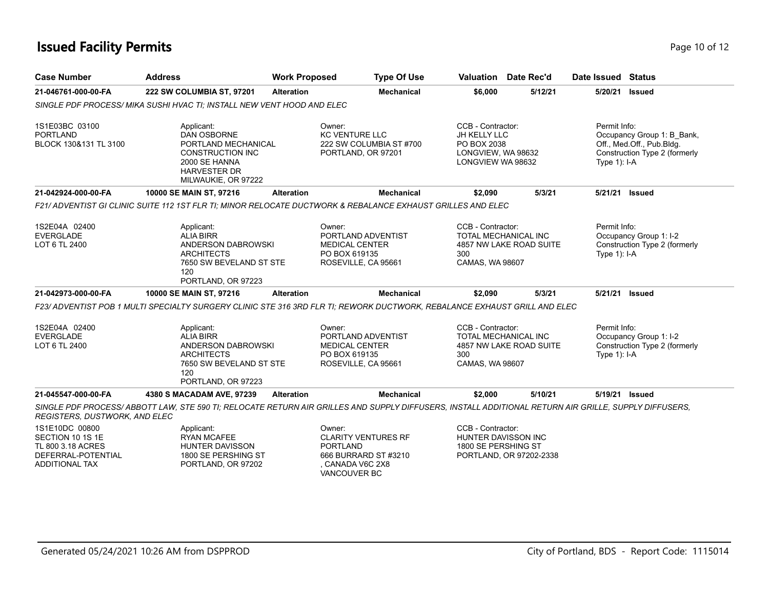## **Issued Facility Permits** Page 10 of 12

| <b>Case Number</b>                                                                              | <b>Address</b>                                                                                                                                       | <b>Work Proposed</b> | <b>Type Of Use</b>                                                                                                |                                                                                             | Valuation Date Rec'd                                   | Date Issued Status             |                                                                                          |
|-------------------------------------------------------------------------------------------------|------------------------------------------------------------------------------------------------------------------------------------------------------|----------------------|-------------------------------------------------------------------------------------------------------------------|---------------------------------------------------------------------------------------------|--------------------------------------------------------|--------------------------------|------------------------------------------------------------------------------------------|
| 21-046761-000-00-FA                                                                             | 222 SW COLUMBIA ST, 97201                                                                                                                            | <b>Alteration</b>    | <b>Mechanical</b>                                                                                                 | \$6,000                                                                                     | 5/12/21                                                | 5/20/21                        | <b>Issued</b>                                                                            |
|                                                                                                 | SINGLE PDF PROCESS/ MIKA SUSHI HVAC TI; INSTALL NEW VENT HOOD AND ELEC                                                                               |                      |                                                                                                                   |                                                                                             |                                                        |                                |                                                                                          |
| 1S1E03BC 03100<br>PORTLAND<br>BLOCK 130&131 TL 3100                                             | Applicant:<br><b>DAN OSBORNE</b><br>PORTLAND MECHANICAL<br><b>CONSTRUCTION INC</b><br>2000 SE HANNA<br><b>HARVESTER DR</b><br>MILWAUKIE, OR 97222    |                      | Owner:<br><b>KC VENTURE LLC</b><br>222 SW COLUMBIA ST #700<br>PORTLAND, OR 97201                                  | CCB - Contractor:<br>JH KELLY LLC<br>PO BOX 2038<br>LONGVIEW, WA 98632<br>LONGVIEW WA 98632 |                                                        | Permit Info:<br>Type $1$ : I-A | Occupancy Group 1: B_Bank,<br>Off., Med.Off., Pub.Bldg.<br>Construction Type 2 (formerly |
| 21-042924-000-00-FA                                                                             | 10000 SE MAIN ST, 97216                                                                                                                              | <b>Alteration</b>    | <b>Mechanical</b>                                                                                                 | \$2.090                                                                                     | 5/3/21                                                 | 5/21/21 Issued                 |                                                                                          |
|                                                                                                 | F21/ADVENTIST GI CLINIC SUITE 112 1ST FLR TI: MINOR RELOCATE DUCTWORK & REBALANCE EXHAUST GRILLES AND ELEC                                           |                      |                                                                                                                   |                                                                                             |                                                        |                                |                                                                                          |
| 1S2E04A 02400<br><b>EVERGLADE</b><br>LOT 6 TL 2400                                              | Applicant:<br><b>ALIA BIRR</b><br>ANDERSON DABROWSKI<br><b>ARCHITECTS</b><br>7650 SW BEVELAND ST STE<br>120<br>PORTLAND, OR 97223                    |                      | Owner:<br>PORTLAND ADVENTIST<br><b>MEDICAL CENTER</b><br>PO BOX 619135<br>ROSEVILLE, CA 95661                     | CCB - Contractor:<br>300<br>CAMAS, WA 98607                                                 | <b>TOTAL MECHANICAL INC</b><br>4857 NW LAKE ROAD SUITE | Permit Info:<br>Type $1$ : I-A | Occupancy Group 1: I-2<br>Construction Type 2 (formerly                                  |
| 21-042973-000-00-FA                                                                             | 10000 SE MAIN ST, 97216                                                                                                                              | <b>Alteration</b>    | <b>Mechanical</b>                                                                                                 | \$2,090                                                                                     | 5/3/21                                                 | 5/21/21 Issued                 |                                                                                          |
|                                                                                                 | F23/ ADVENTIST POB 1 MULTI SPECIALTY SURGERY CLINIC STE 316 3RD FLR TI: REWORK DUCTWORK, REBALANCE EXHAUST GRILL AND ELEC                            |                      |                                                                                                                   |                                                                                             |                                                        |                                |                                                                                          |
| 1S2E04A 02400<br>EVERGLADE<br>LOT 6 TL 2400                                                     | Applicant:<br><b>ALIA BIRR</b><br>ANDERSON DABROWSKI<br><b>ARCHITECTS</b><br>7650 SW BEVELAND ST STE<br>120<br>PORTLAND, OR 97223                    |                      | Owner:<br>PORTLAND ADVENTIST<br><b>MEDICAL CENTER</b><br>PO BOX 619135<br>ROSEVILLE, CA 95661                     | CCB - Contractor:<br>300<br>CAMAS, WA 98607                                                 | TOTAL MECHANICAL INC<br>4857 NW LAKE ROAD SUITE        | Permit Info:<br>Type $1$ : I-A | Occupancy Group 1: I-2<br>Construction Type 2 (formerly                                  |
| 21-045547-000-00-FA                                                                             | 4380 S MACADAM AVE, 97239                                                                                                                            | <b>Alteration</b>    | <b>Mechanical</b>                                                                                                 | \$2,000                                                                                     | 5/10/21                                                | 5/19/21 Issued                 |                                                                                          |
| REGISTERS, DUSTWORK, AND ELEC                                                                   | SINGLE PDF PROCESS/ABBOTT LAW, STE 590 TI; RELOCATE RETURN AIR GRILLES AND SUPPLY DIFFUSERS, INSTALL ADDITIONAL RETURN AIR GRILLE, SUPPLY DIFFUSERS, |                      |                                                                                                                   |                                                                                             |                                                        |                                |                                                                                          |
| 1S1E10DC 00800<br>SECTION 10 1S 1E<br>TL 800 3.18 ACRES<br>DEFERRAL-POTENTIAL<br>ADDITIONAL TAX | Applicant:<br><b>RYAN MCAFEE</b><br><b>HUNTER DAVISSON</b><br>1800 SE PERSHING ST<br>PORTLAND, OR 97202                                              |                      | Owner:<br><b>CLARITY VENTURES RF</b><br><b>PORTLAND</b><br>666 BURRARD ST #3210<br>CANADA V6C 2X8<br>VANCOUVER BC | CCB - Contractor:<br>HUNTER DAVISSON INC<br>1800 SE PERSHING ST                             | PORTLAND, OR 97202-2338                                |                                |                                                                                          |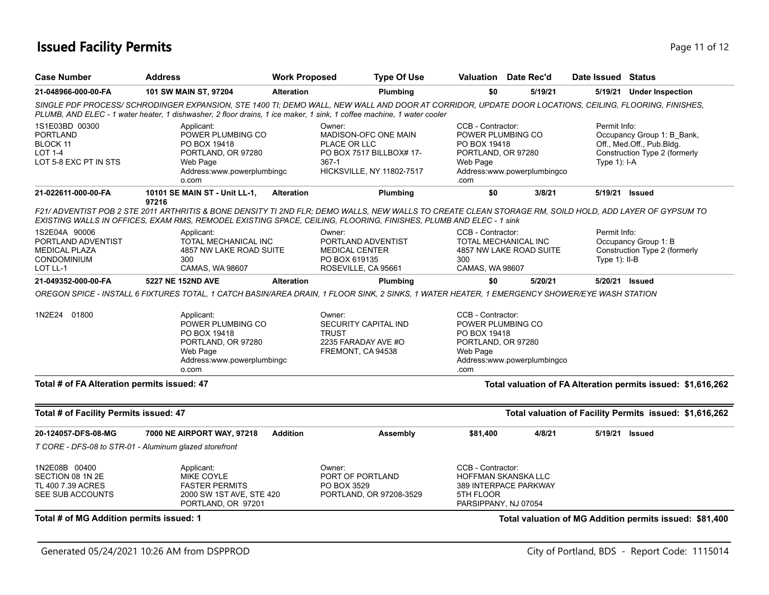## **Issued Facility Permits** Provide the Contract of the Page 11 of 12 Page 11 of 12

| <b>Case Number</b>                                                                            | <b>Address</b>                                                                                                                                                                                                                                                                 | <b>Work Proposed</b> | <b>Type Of Use</b>                                                                                                   |                                                                                                  | Valuation Date Rec'd                                | Date Issued Status               |                                                                                          |
|-----------------------------------------------------------------------------------------------|--------------------------------------------------------------------------------------------------------------------------------------------------------------------------------------------------------------------------------------------------------------------------------|----------------------|----------------------------------------------------------------------------------------------------------------------|--------------------------------------------------------------------------------------------------|-----------------------------------------------------|----------------------------------|------------------------------------------------------------------------------------------|
| 21-048966-000-00-FA                                                                           | 101 SW MAIN ST, 97204                                                                                                                                                                                                                                                          | <b>Alteration</b>    | Plumbing                                                                                                             | \$0                                                                                              | 5/19/21                                             |                                  | 5/19/21 Under Inspection                                                                 |
|                                                                                               | SINGLE PDF PROCESS/ SCHRODINGER EXPANSION, STE 1400 TI; DEMO WALL, NEW WALL AND DOOR AT CORRIDOR, UPDATE DOOR LOCATIONS, CEILING, FLOORING, FINISHES,<br>PLUMB, AND ELEC - 1 water heater, 1 dishwasher, 2 floor drains, 1 ice maker, 1 sink, 1 coffee machine, 1 water cooler |                      |                                                                                                                      |                                                                                                  |                                                     |                                  |                                                                                          |
| 1S1E03BD 00300<br>PORTLAND<br>BLOCK 11<br>LOT 1-4<br>LOT 5-8 EXC PT IN STS                    | Applicant:<br>POWER PLUMBING CO<br>PO BOX 19418<br>PORTLAND, OR 97280<br>Web Page<br>Address:www.powerplumbingc<br>o.com                                                                                                                                                       |                      | Owner:<br>MADISON-OFC ONE MAIN<br>PLACE OR LLC<br>PO BOX 7517 BILLBOX# 17-<br>$367 - 1$<br>HICKSVILLE, NY 11802-7517 | CCB - Contractor:<br>POWER PLUMBING CO<br>PO BOX 19418<br>PORTLAND, OR 97280<br>Web Page<br>.com | Address:www.powerplumbingco                         | Permit Info:<br>Type 1): I-A     | Occupancy Group 1: B_Bank,<br>Off., Med.Off., Pub.Bldg.<br>Construction Type 2 (formerly |
| 21-022611-000-00-FA                                                                           | 10101 SE MAIN ST - Unit LL-1,<br>97216                                                                                                                                                                                                                                         | <b>Alteration</b>    | Plumbing                                                                                                             | \$0                                                                                              | 3/8/21                                              | 5/19/21 Issued                   |                                                                                          |
|                                                                                               | F21/ ADVENTIST POB 2 STE 2011 ARTHRITIS & BONE DENSITY TI 2ND FLR; DEMO WALLS, NEW WALLS TO CREATE CLEAN STORAGE RM, SOILD HOLD, ADD LAYER OF GYPSUM TO<br>EXISTING WALLS IN OFFICES, EXAM RMS, REMODEL EXISTING SPACE, CEILING, FLOORING, FINISHES, PLUMB AND ELEC - 1 sink   |                      |                                                                                                                      |                                                                                                  |                                                     |                                  |                                                                                          |
| 1S2E04A 90006<br>PORTLAND ADVENTIST<br><b>MEDICAL PLAZA</b><br><b>CONDOMINIUM</b><br>LOT LL-1 | Applicant:<br>TOTAL MECHANICAL INC<br>4857 NW LAKE ROAD SUITE<br>300<br>CAMAS, WA 98607                                                                                                                                                                                        |                      | Owner:<br>PORTLAND ADVENTIST<br>MEDICAL CENTER<br>PO BOX 619135<br>ROSEVILLE, CA 95661                               | CCB - Contractor:<br>300<br>CAMAS, WA 98607                                                      | TOTAL MECHANICAL INC<br>4857 NW LAKE ROAD SUITE     | Permit Info:<br>Type $1$ ): II-B | Occupancy Group 1: B<br>Construction Type 2 (formerly                                    |
| 21-049352-000-00-FA                                                                           | 5227 NE 152ND AVE                                                                                                                                                                                                                                                              | <b>Alteration</b>    | <b>Plumbing</b>                                                                                                      | \$0                                                                                              | 5/20/21                                             |                                  | 5/20/21 Issued                                                                           |
|                                                                                               | OREGON SPICE - INSTALL 6 FIXTURES TOTAL, 1 CATCH BASIN/AREA DRAIN, 1 FLOOR SINK, 2 SINKS, 1 WATER HEATER, 1 EMERGENCY SHOWER/EYE WASH STATION                                                                                                                                  |                      |                                                                                                                      |                                                                                                  |                                                     |                                  |                                                                                          |
| 1N2E24 01800                                                                                  | Applicant:<br>POWER PLUMBING CO<br>PO BOX 19418<br>PORTLAND, OR 97280<br>Web Page<br>Address:www.powerplumbingc<br>o.com                                                                                                                                                       |                      | Owner:<br>SECURITY CAPITAL IND<br><b>TRUST</b><br>2235 FARADAY AVE #O<br>FREMONT, CA 94538                           | CCB - Contractor:<br>POWER PLUMBING CO<br>PO BOX 19418<br>PORTLAND, OR 97280<br>Web Page<br>.com | Address:www.powerplumbingco                         |                                  |                                                                                          |
| Total # of FA Alteration permits issued: 47                                                   |                                                                                                                                                                                                                                                                                |                      |                                                                                                                      |                                                                                                  |                                                     |                                  | Total valuation of FA Alteration permits issued: \$1,616,262                             |
| Total # of Facility Permits issued: 47                                                        |                                                                                                                                                                                                                                                                                |                      |                                                                                                                      |                                                                                                  |                                                     |                                  | Total valuation of Facility Permits issued: \$1,616,262                                  |
| 20-124057-DFS-08-MG                                                                           | 7000 NE AIRPORT WAY, 97218                                                                                                                                                                                                                                                     | <b>Addition</b>      | Assembly                                                                                                             | \$81,400                                                                                         | 4/8/21                                              | 5/19/21 Issued                   |                                                                                          |
| T CORE - DFS-08 to STR-01 - Aluminum glazed storefront                                        |                                                                                                                                                                                                                                                                                |                      |                                                                                                                      |                                                                                                  |                                                     |                                  |                                                                                          |
| 1N2E08B 00400<br>SECTION 08 1N 2E<br>TL 400 7.39 ACRES<br>SEE SUB ACCOUNTS                    | Applicant:<br><b>MIKE COYLE</b><br><b>FASTER PERMITS</b><br>2000 SW 1ST AVE, STE 420<br>PORTLAND, OR 97201                                                                                                                                                                     |                      | Owner:<br>PORT OF PORTLAND<br>PO BOX 3529<br>PORTLAND, OR 97208-3529                                                 | CCB - Contractor:<br>5TH FLOOR<br>PARSIPPANY, NJ 07054                                           | <b>HOFFMAN SKANSKA LLC</b><br>389 INTERPACE PARKWAY |                                  |                                                                                          |
| Total # of MG Addition permits issued: 1                                                      |                                                                                                                                                                                                                                                                                |                      |                                                                                                                      |                                                                                                  |                                                     |                                  | Total valuation of MG Addition permits issued: \$81,400                                  |